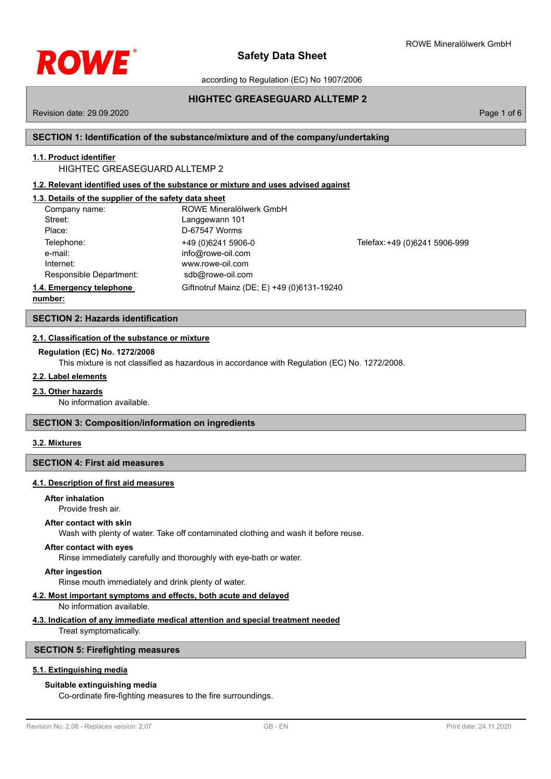

according to Regulation (EC) No 1907/2006

# **HIGHTEC GREASEGUARD ALLTEMP 2**

Revision date: 29.09.2020 Page 1 of 6

# **SECTION 1: Identification of the substance/mixture and of the company/undertaking**

# **1.1. Product identifier**

HIGHTEC GREASEGUARD ALLTEMP 2

# **1.2. Relevant identified uses of the substance or mixture and uses advised against**

# **1.3. Details of the supplier of the safety data sheet**

| Company name:            | ROWE Mineralölwerk GmbH                    |                               |
|--------------------------|--------------------------------------------|-------------------------------|
| Street:                  | Langgewann 101                             |                               |
| Place:                   | D-67547 Worms                              |                               |
| Telephone:               | +49 (0) 6241 5906-0                        | Telefax: +49 (0)6241 5906-999 |
| e-mail:                  | info@rowe-oil.com                          |                               |
| Internet:                | www.rowe-oil.com                           |                               |
| Responsible Department:  | sdb@rowe-oil.com                           |                               |
| 1.4. Emergency telephone | Giftnotruf Mainz (DE; E) +49 (0)6131-19240 |                               |
| numhar:                  |                                            |                               |

**number:**

**SECTION 2: Hazards identification**

## **2.1. Classification of the substance or mixture**

## **Regulation (EC) No. 1272/2008**

This mixture is not classified as hazardous in accordance with Regulation (EC) No. 1272/2008.

### **2.2. Label elements**

### **2.3. Other hazards**

No information available.

## **SECTION 3: Composition/information on ingredients**

## **3.2. Mixtures**

# **SECTION 4: First aid measures**

## **4.1. Description of first aid measures**

# **After inhalation**

Provide fresh air.

### **After contact with skin**

Wash with plenty of water. Take off contaminated clothing and wash it before reuse.

### **After contact with eyes**

Rinse immediately carefully and thoroughly with eye-bath or water.

#### **After ingestion**

Rinse mouth immediately and drink plenty of water.

# **4.2. Most important symptoms and effects, both acute and delayed**

No information available.

# **4.3. Indication of any immediate medical attention and special treatment needed**

Treat symptomatically.

# **SECTION 5: Firefighting measures**

# **5.1. Extinguishing media**

# **Suitable extinguishing media**

Co-ordinate fire-fighting measures to the fire surroundings.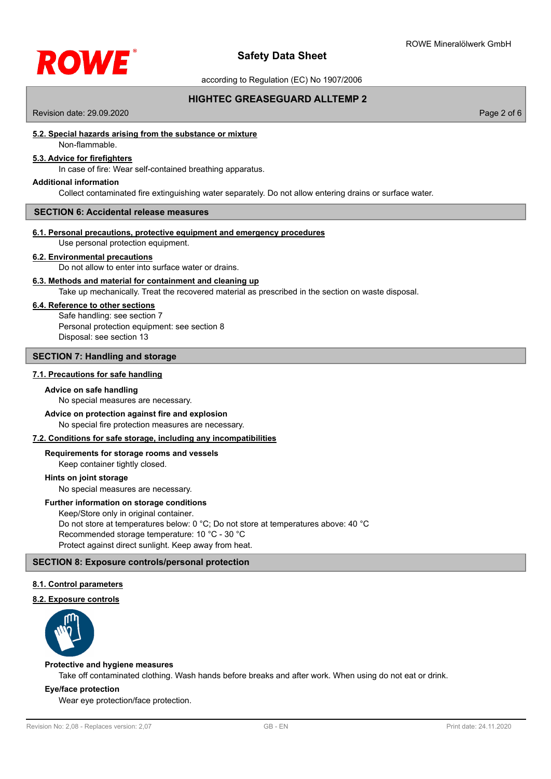

according to Regulation (EC) No 1907/2006

# **HIGHTEC GREASEGUARD ALLTEMP 2**

Revision date: 29.09.2020 Page 2 of 6

## **5.2. Special hazards arising from the substance or mixture**

# Non-flammable.

# **5.3. Advice for firefighters**

In case of fire: Wear self-contained breathing apparatus.

#### **Additional information**

Collect contaminated fire extinguishing water separately. Do not allow entering drains or surface water.

# **SECTION 6: Accidental release measures**

#### **6.1. Personal precautions, protective equipment and emergency procedures**

Use personal protection equipment.

## **6.2. Environmental precautions**

# Do not allow to enter into surface water or drains.

Take up mechanically. Treat the recovered material as prescribed in the section on waste disposal. **6.3. Methods and material for containment and cleaning up**

#### **6.4. Reference to other sections**

Safe handling: see section 7 Personal protection equipment: see section 8 Disposal: see section 13

### **SECTION 7: Handling and storage**

#### **7.1. Precautions for safe handling**

#### **Advice on safe handling**

No special measures are necessary.

#### **Advice on protection against fire and explosion**

No special fire protection measures are necessary.

### **7.2. Conditions for safe storage, including any incompatibilities**

### **Requirements for storage rooms and vessels**

Keep container tightly closed.

### **Hints on joint storage**

No special measures are necessary.

### **Further information on storage conditions**

Keep/Store only in original container. Do not store at temperatures below: 0 °C; Do not store at temperatures above: 40 °C Recommended storage temperature: 10 °C - 30 °C Protect against direct sunlight. Keep away from heat.

### **SECTION 8: Exposure controls/personal protection**

### **8.1. Control parameters**

#### **8.2. Exposure controls**



#### **Protective and hygiene measures**

Take off contaminated clothing. Wash hands before breaks and after work. When using do not eat or drink.

## **Eye/face protection**

Wear eye protection/face protection.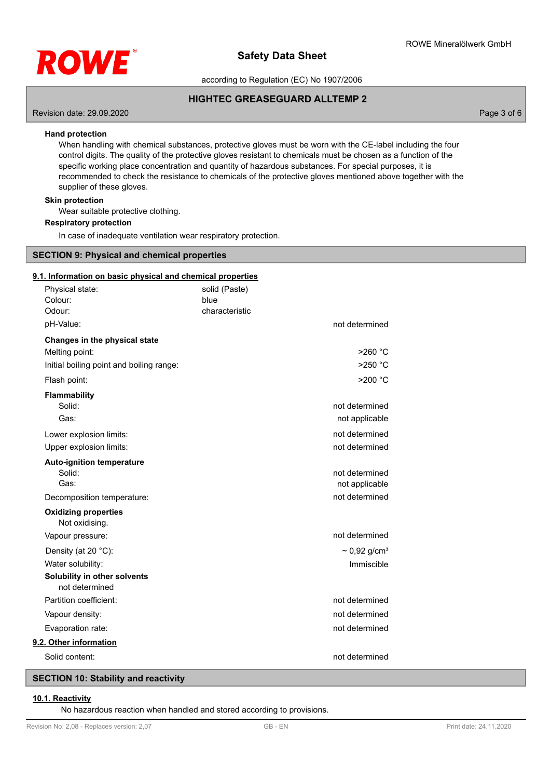

according to Regulation (EC) No 1907/2006

# **HIGHTEC GREASEGUARD ALLTEMP 2**

Revision date: 29.09.2020 Page 3 of 6

## **Hand protection**

When handling with chemical substances, protective gloves must be worn with the CE-label including the four control digits. The quality of the protective gloves resistant to chemicals must be chosen as a function of the specific working place concentration and quantity of hazardous substances. For special purposes, it is recommended to check the resistance to chemicals of the protective gloves mentioned above together with the supplier of these gloves.

## **Skin protection**

Wear suitable protective clothing.

### **Respiratory protection**

In case of inadequate ventilation wear respiratory protection.

## **SECTION 9: Physical and chemical properties**

# **9.1. Information on basic physical and chemical properties**

| Physical state:                                | solid (Paste)  |                               |
|------------------------------------------------|----------------|-------------------------------|
| Colour:                                        | blue           |                               |
| Odour:                                         | characteristic |                               |
| pH-Value:                                      |                | not determined                |
| Changes in the physical state                  |                |                               |
| Melting point:                                 |                | $>260$ °C                     |
| Initial boiling point and boiling range:       |                | $>250$ °C                     |
| Flash point:                                   |                | $>200$ °C                     |
| <b>Flammability</b>                            |                |                               |
| Solid:                                         |                | not determined                |
| Gas:                                           |                | not applicable                |
| Lower explosion limits:                        |                | not determined                |
| Upper explosion limits:                        |                | not determined                |
| <b>Auto-ignition temperature</b>               |                |                               |
| Solid:                                         |                | not determined                |
| Gas:                                           |                | not applicable                |
| Decomposition temperature:                     |                | not determined                |
| <b>Oxidizing properties</b><br>Not oxidising.  |                |                               |
| Vapour pressure:                               |                | not determined                |
| Density (at 20 °C):                            |                | $\sim 0.92$ g/cm <sup>3</sup> |
| Water solubility:                              |                | Immiscible                    |
| Solubility in other solvents<br>not determined |                |                               |
| Partition coefficient:                         |                | not determined                |
| Vapour density:                                |                | not determined                |
| Evaporation rate:                              |                | not determined                |
| 9.2. Other information                         |                |                               |
| Solid content:                                 |                | not determined                |

# **SECTION 10: Stability and reactivity**

#### **10.1. Reactivity**

No hazardous reaction when handled and stored according to provisions.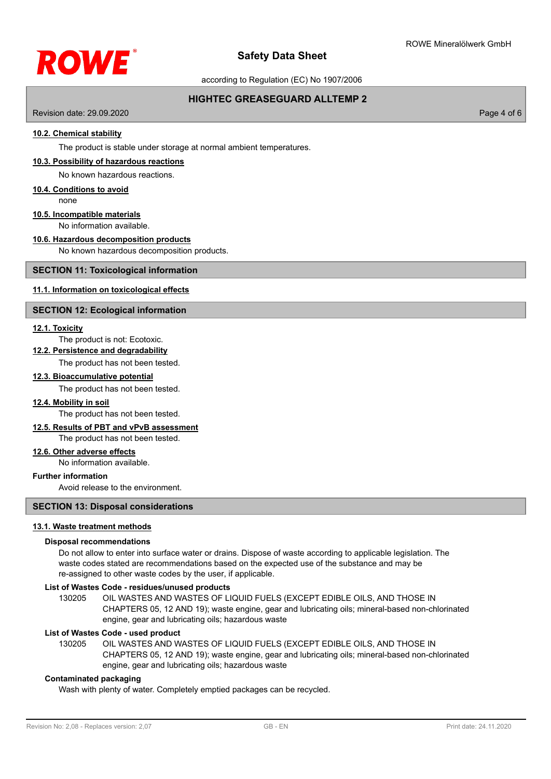

according to Regulation (EC) No 1907/2006

# **HIGHTEC GREASEGUARD ALLTEMP 2**

Revision date: 29.09.2020 Page 4 of 6

## **10.2. Chemical stability**

The product is stable under storage at normal ambient temperatures.

#### **10.3. Possibility of hazardous reactions**

No known hazardous reactions.

## **10.4. Conditions to avoid**

none

## **10.5. Incompatible materials**

No information available.

## **10.6. Hazardous decomposition products**

No known hazardous decomposition products.

### **SECTION 11: Toxicological information**

# **11.1. Information on toxicological effects**

## **SECTION 12: Ecological information**

### **12.1. Toxicity**

# The product is not: Ecotoxic.

**12.2. Persistence and degradability**

The product has not been tested.

## **12.3. Bioaccumulative potential**

The product has not been tested.

### **12.4. Mobility in soil**

The product has not been tested.

### **12.5. Results of PBT and vPvB assessment**

The product has not been tested.

## **12.6. Other adverse effects**

No information available.

## **Further information**

Avoid release to the environment.

### **SECTION 13: Disposal considerations**

### **13.1. Waste treatment methods**

### **Disposal recommendations**

Do not allow to enter into surface water or drains. Dispose of waste according to applicable legislation. The waste codes stated are recommendations based on the expected use of the substance and may be re-assigned to other waste codes by the user, if applicable.

## **List of Wastes Code - residues/unused products**

130205 OIL WASTES AND WASTES OF LIQUID FUELS (EXCEPT EDIBLE OILS, AND THOSE IN CHAPTERS 05, 12 AND 19); waste engine, gear and lubricating oils; mineral-based non-chlorinated engine, gear and lubricating oils; hazardous waste

### **List of Wastes Code - used product**

OIL WASTES AND WASTES OF LIQUID FUELS (EXCEPT EDIBLE OILS, AND THOSE IN CHAPTERS 05, 12 AND 19); waste engine, gear and lubricating oils; mineral-based non-chlorinated engine, gear and lubricating oils; hazardous waste 130205

## **Contaminated packaging**

Wash with plenty of water. Completely emptied packages can be recycled.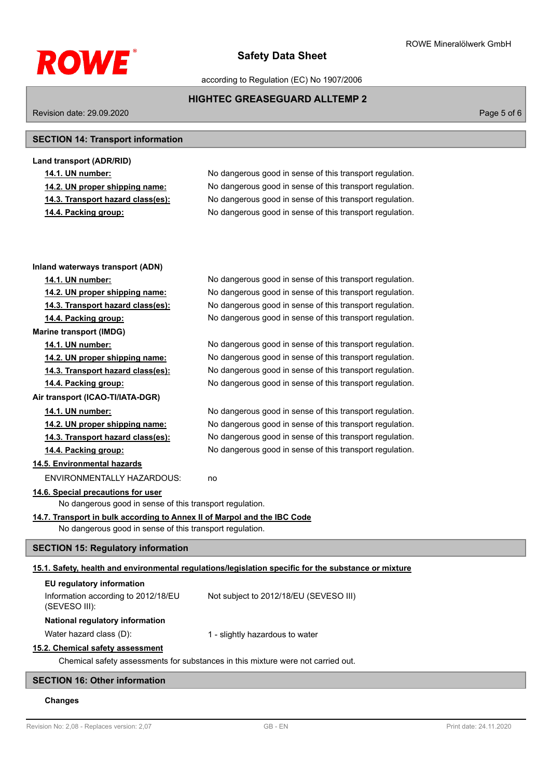

ROWE Mineralölwerk GmbH

according to Regulation (EC) No 1907/2006

# **HIGHTEC GREASEGUARD ALLTEMP 2**

Revision date: 29.09.2020 **Page 5 of 6** 

# **SECTION 14: Transport information**

| No dangerous good in sense of this transport regulation. |
|----------------------------------------------------------|
| No dangerous good in sense of this transport regulation. |
| No dangerous good in sense of this transport regulation. |
| No dangerous good in sense of this transport regulation. |
|                                                          |

| Inland waterways transport (ADN)                                                 |                                                                                                      |  |  |
|----------------------------------------------------------------------------------|------------------------------------------------------------------------------------------------------|--|--|
| 14.1. UN number:                                                                 | No dangerous good in sense of this transport regulation.                                             |  |  |
| 14.2. UN proper shipping name:                                                   | No dangerous good in sense of this transport regulation.                                             |  |  |
| 14.3. Transport hazard class(es):                                                | No dangerous good in sense of this transport regulation.                                             |  |  |
| 14.4. Packing group:                                                             | No dangerous good in sense of this transport regulation.                                             |  |  |
| <b>Marine transport (IMDG)</b>                                                   |                                                                                                      |  |  |
| 14.1. UN number:                                                                 | No dangerous good in sense of this transport regulation.                                             |  |  |
| 14.2. UN proper shipping name:                                                   | No dangerous good in sense of this transport regulation.                                             |  |  |
| 14.3. Transport hazard class(es):                                                | No dangerous good in sense of this transport regulation.                                             |  |  |
| 14.4. Packing group:                                                             | No dangerous good in sense of this transport regulation.                                             |  |  |
| Air transport (ICAO-TI/IATA-DGR)                                                 |                                                                                                      |  |  |
| 14.1. UN number:                                                                 | No dangerous good in sense of this transport regulation.                                             |  |  |
| 14.2. UN proper shipping name:                                                   | No dangerous good in sense of this transport regulation.                                             |  |  |
| 14.3. Transport hazard class(es):                                                | No dangerous good in sense of this transport regulation.                                             |  |  |
| 14.4. Packing group:                                                             | No dangerous good in sense of this transport regulation.                                             |  |  |
| 14.5. Environmental hazards                                                      |                                                                                                      |  |  |
| ENVIRONMENTALLY HAZARDOUS:                                                       | no                                                                                                   |  |  |
| 14.6. Special precautions for user                                               |                                                                                                      |  |  |
| No dangerous good in sense of this transport regulation.                         |                                                                                                      |  |  |
| 14.7. Transport in bulk according to Annex II of Marpol and the IBC Code         |                                                                                                      |  |  |
| No dangerous good in sense of this transport regulation.                         |                                                                                                      |  |  |
| <b>SECTION 15: Regulatory information</b>                                        |                                                                                                      |  |  |
|                                                                                  | 15.1. Safety, health and environmental regulations/legislation specific for the substance or mixture |  |  |
| EU regulatory information                                                        |                                                                                                      |  |  |
| Information according to 2012/18/EU                                              | Not subject to 2012/18/EU (SEVESO III)                                                               |  |  |
| (SEVESO III):                                                                    |                                                                                                      |  |  |
| National regulatory information                                                  |                                                                                                      |  |  |
| Water hazard class (D):                                                          | 1 - slightly hazardous to water                                                                      |  |  |
| 15.2. Chemical safety assessment                                                 |                                                                                                      |  |  |
| Chemical safety assessments for substances in this mixture were not carried out. |                                                                                                      |  |  |
| <b>SECTION 16: Other information</b>                                             |                                                                                                      |  |  |
|                                                                                  |                                                                                                      |  |  |

# **Changes**